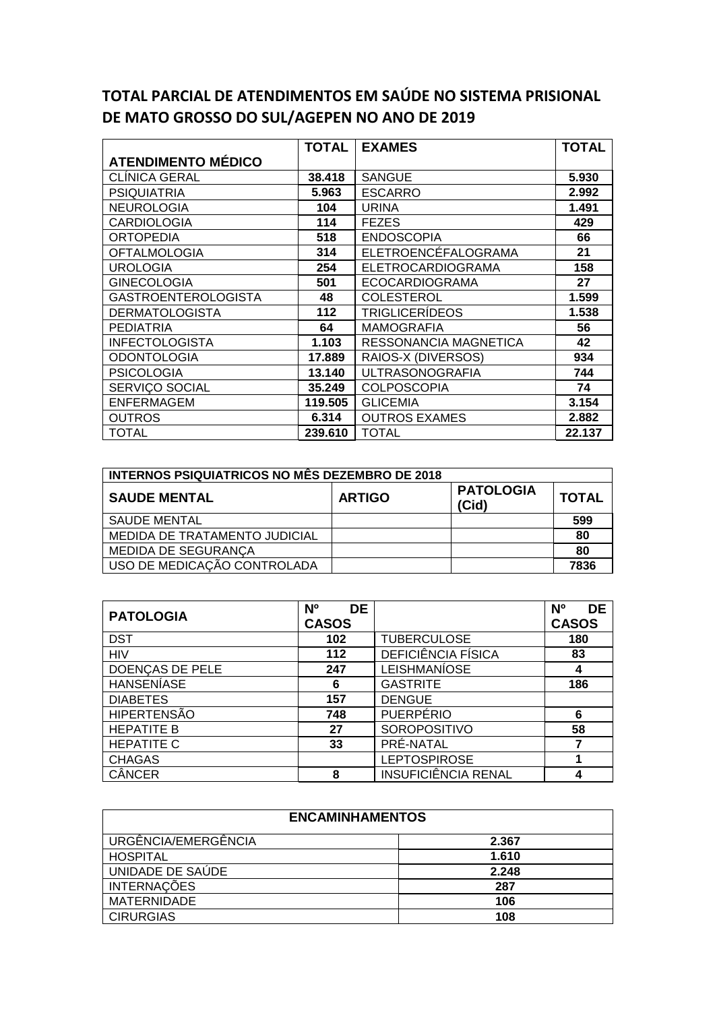## **TOTAL PARCIAL DE ATENDIMENTOS EM SAÚDE NO SISTEMA PRISIONAL DE MATO GROSSO DO SUL/AGEPEN NO ANO DE 2019**

|                            | TOTAL   | <b>EXAMES</b>            | <b>TOTAL</b> |
|----------------------------|---------|--------------------------|--------------|
| <b>ATENDIMENTO MÉDICO</b>  |         |                          |              |
| CLÍNICA GERAL              | 38.418  | <b>SANGUE</b>            | 5.930        |
| <b>PSIQUIATRIA</b>         | 5.963   | <b>ESCARRO</b>           | 2.992        |
| <b>NEUROLOGIA</b>          | 104     | <b>URINA</b>             | 1.491        |
| <b>CARDIOLOGIA</b>         | 114     | <b>FEZES</b>             | 429          |
| <b>ORTOPEDIA</b>           | 518     | <b>ENDOSCOPIA</b>        | 66           |
| <b>OFTALMOLOGIA</b>        | 314     | ELETROENCÉFALOGRAMA      | 21           |
| <b>UROLOGIA</b>            | 254     | <b>ELETROCARDIOGRAMA</b> | 158          |
| <b>GINECOLOGIA</b>         | 501     | <b>ECOCARDIOGRAMA</b>    | 27           |
| <b>GASTROENTEROLOGISTA</b> | 48      | <b>COLESTEROL</b>        | 1.599        |
| <b>DERMATOLOGISTA</b>      | 112     | <b>TRIGLICERÍDEOS</b>    | 1.538        |
| <b>PEDIATRIA</b>           | 64      | <b>MAMOGRAFIA</b>        | 56           |
| <b>INFECTOLOGISTA</b>      | 1.103   | RESSONANCIA MAGNETICA    | 42           |
| <b>ODONTOLOGIA</b>         | 17.889  | RAIOS-X (DIVERSOS)       | 934          |
| <b>PSICOLOGIA</b>          | 13.140  | <b>ULTRASONOGRAFIA</b>   | 744          |
| SERVICO SOCIAL             | 35.249  | <b>COLPOSCOPIA</b>       | 74           |
| <b>ENFERMAGEM</b>          | 119.505 | <b>GLICEMIA</b>          | 3.154        |
| <b>OUTROS</b>              | 6.314   | <b>OUTROS EXAMES</b>     | 2.882        |
| <b>TOTAL</b>               | 239.610 | <b>TOTAL</b>             | 22.137       |

| <b>INTERNOS PSIQUIATRICOS NO MÊS DEZEMBRO DE 2018</b> |               |                           |              |
|-------------------------------------------------------|---------------|---------------------------|--------------|
| <b>SAUDE MENTAL</b>                                   | <b>ARTIGO</b> | <b>PATOLOGIA</b><br>(Cid) | <b>TOTAL</b> |
| <b>SAUDE MENTAL</b>                                   |               |                           | 599          |
| MEDIDA DE TRATAMENTO JUDICIAL                         |               |                           | 80           |
| <b>MEDIDA DE SEGURANCA</b>                            |               |                           | 80           |
| USO DE MEDICAÇÃO CONTROLADA                           |               |                           | 7836         |

| <b>PATOLOGIA</b>   | <b>DE</b><br>N <sup>o</sup><br><b>CASOS</b> |                     | <b>DE</b><br>N°<br><b>CASOS</b> |
|--------------------|---------------------------------------------|---------------------|---------------------------------|
| <b>DST</b>         | 102                                         | <b>TUBERCULOSE</b>  | 180                             |
| <b>HIV</b>         | 112                                         | DEFICIÊNCIA FÍSICA  | 83                              |
| DOENCAS DE PELE    | 247                                         | <b>LEISHMANÍOSE</b> | 4                               |
| <b>HANSENIASE</b>  | 6                                           | <b>GASTRITE</b>     | 186                             |
| <b>DIABETES</b>    | 157                                         | <b>DENGUE</b>       |                                 |
| <b>HIPERTENSÃO</b> | 748                                         | <b>PUERPÉRIO</b>    | 6                               |
| <b>HEPATITE B</b>  | 27                                          | SOROPOSITIVO        | 58                              |
| <b>HEPATITE C</b>  | 33                                          | PRE-NATAL           |                                 |
| <b>CHAGAS</b>      |                                             | <b>LEPTOSPIROSE</b> |                                 |
| <b>CÂNCER</b>      | 8                                           | INSUFICIÊNCIA RENAL | 4                               |

| <b>ENCAMINHAMENTOS</b> |       |  |
|------------------------|-------|--|
| URGÊNCIA/EMERGÊNCIA    | 2.367 |  |
| <b>HOSPITAL</b>        | 1.610 |  |
| UNIDADE DE SAÚDE       | 2.248 |  |
| <b>INTERNAÇÕES</b>     | 287   |  |
| <b>MATERNIDADE</b>     | 106   |  |
| <b>CIRURGIAS</b>       | 108   |  |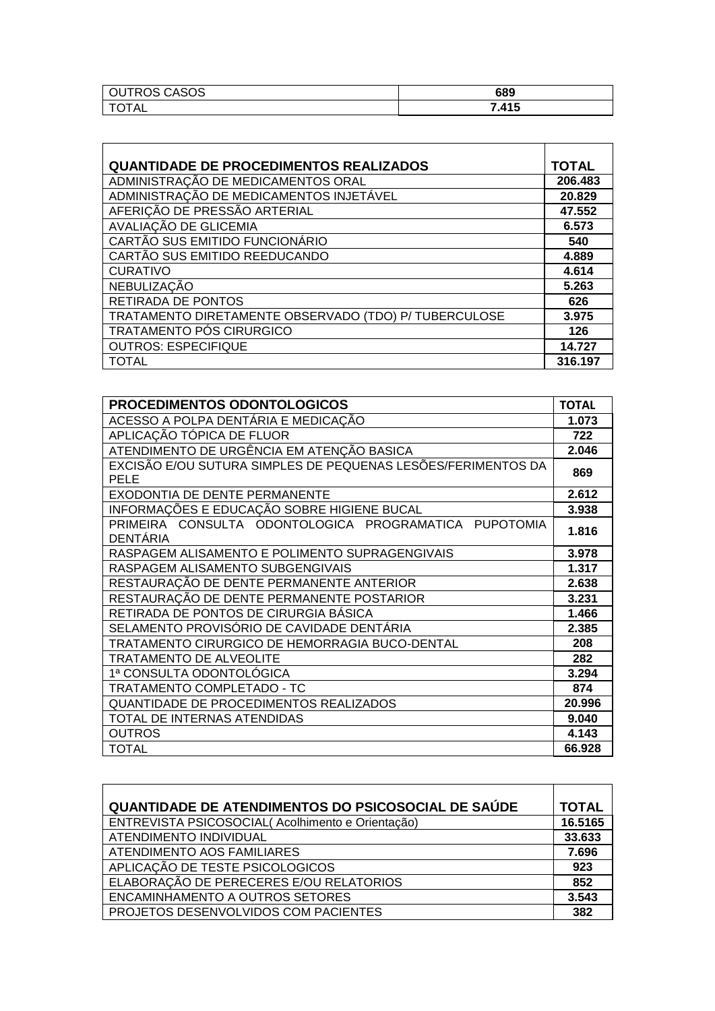| CASOS<br>RC<br>்பட<br>$\overline{\phantom{0}}$ | 689          |
|------------------------------------------------|--------------|
| TAL                                            | 7 415<br>. . |

| <b>QUANTIDADE DE PROCEDIMENTOS REALIZADOS</b>        | <b>TOTAL</b> |
|------------------------------------------------------|--------------|
| ADMINISTRAÇÃO DE MEDICAMENTOS ORAL                   | 206.483      |
| ADMINISTRAÇÃO DE MEDICAMENTOS INJETÁVEL              | 20.829       |
| AFERIÇÃO DE PRESSÃO ARTERIAL                         | 47.552       |
| AVALIAÇÃO DE GLICEMIA                                | 6.573        |
| CARTÃO SUS EMITIDO FUNCIONÁRIO                       | 540          |
| CARTÃO SUS EMITIDO REEDUCANDO                        | 4.889        |
| <b>CURATIVO</b>                                      | 4.614        |
| NEBULIZAÇÃO                                          | 5.263        |
| RETIRADA DE PONTOS                                   | 626          |
| TRATAMENTO DIRETAMENTE OBSERVADO (TDO) P/TUBERCULOSE | 3.975        |
| TRATAMENTO PÓS CIRURGICO                             | 126          |
| <b>OUTROS: ESPECIFIQUE</b>                           | 14.727       |
| TOTAL                                                | 316.197      |

| <b>PROCEDIMENTOS ODONTOLOGICOS</b>                                          | <b>TOTAL</b> |
|-----------------------------------------------------------------------------|--------------|
| ACESSO A POLPA DENTÁRIA E MEDICAÇÃO                                         | 1.073        |
| APLICAÇÃO TÓPICA DE FLUOR                                                   | 722          |
| ATENDIMENTO DE URGÊNCIA EM ATENÇÃO BASICA                                   | 2.046        |
| EXCISÃO E/OU SUTURA SIMPLES DE PEQUENAS LESÕES/FERIMENTOS DA<br><b>PELE</b> | 869          |
| EXODONTIA DE DENTE PERMANENTE                                               | 2.612        |
| INFORMAÇÕES E EDUCAÇÃO SOBRE HIGIENE BUCAL                                  | 3.938        |
| PRIMEIRA CONSULTA ODONTOLOGICA PROGRAMATICA PUPOTOMIA<br><b>DENTÁRIA</b>    | 1.816        |
| RASPAGEM ALISAMENTO E POLIMENTO SUPRAGENGIVAIS                              | 3.978        |
| RASPAGEM ALISAMENTO SUBGENGIVAIS                                            | 1.317        |
| RESTAURAÇÃO DE DENTE PERMANENTE ANTERIOR                                    | 2.638        |
| RESTAURAÇÃO DE DENTE PERMANENTE POSTARIOR                                   | 3.231        |
| RETIRADA DE PONTOS DE CIRURGIA BÁSICA                                       | 1.466        |
| SELAMENTO PROVISÓRIO DE CAVIDADE DENTÁRIA                                   | 2.385        |
| TRATAMENTO CIRURGICO DE HEMORRAGIA BUCO-DENTAL                              | 208          |
| <b>TRATAMENTO DE ALVEOLITE</b>                                              | 282          |
| 1ª CONSULTA ODONTOLÓGICA                                                    | 3.294        |
| TRATAMENTO COMPLETADO - TC                                                  | 874          |
| <b>QUANTIDADE DE PROCEDIMENTOS REALIZADOS</b>                               | 20.996       |
| TOTAL DE INTERNAS ATENDIDAS                                                 | 9.040        |
| <b>OUTROS</b>                                                               | 4.143        |
| <b>TOTAL</b>                                                                | 66.928       |

| QUANTIDADE DE ATENDIMENTOS DO PSICOSOCIAL DE SAUDE | <b>TOTAL</b> |
|----------------------------------------------------|--------------|
| ENTREVISTA PSICOSOCIAL(Acolhimento e Orientação)   | 16.5165      |
| ATENDIMENTO INDIVIDUAL                             | 33.633       |
| ATENDIMENTO AOS FAMILIARES                         | 7.696        |
| APLICAÇÃO DE TESTE PSICOLOGICOS                    | 923          |
| ELABORAÇÃO DE PERECERES E/OU RELATORIOS            | 852          |
| ENCAMINHAMENTO A OUTROS SETORES                    | 3.543        |
| PROJETOS DESENVOLVIDOS COM PACIENTES               | 382          |